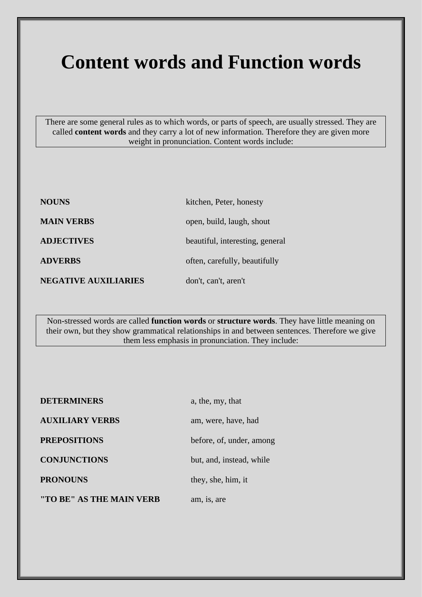## **Content words and Function words**

There are some general rules as to which words, or parts of speech, are usually stressed. They are called **content words** and they carry a lot of new information. Therefore they are given more weight in pronunciation. Content words include:

| <b>NOUNS</b>                | kitchen, Peter, honesty         |
|-----------------------------|---------------------------------|
| <b>MAIN VERBS</b>           | open, build, laugh, shout       |
| <b>ADJECTIVES</b>           | beautiful, interesting, general |
| <b>ADVERBS</b>              | often, carefully, beautifully   |
| <b>NEGATIVE AUXILIARIES</b> | don't, can't, aren't            |

Non-stressed words are called **function words** or **structure words**. They have little meaning on their own, but they show grammatical relationships in and between sentences. Therefore we give them less emphasis in pronunciation. They include:

| <b>DETERMINERS</b>       | a, the, my, that         |
|--------------------------|--------------------------|
| <b>AUXILIARY VERBS</b>   | am, were, have, had      |
| <b>PREPOSITIONS</b>      | before, of, under, among |
| <b>CONJUNCTIONS</b>      | but, and, instead, while |
| <b>PRONOUNS</b>          | they, she, him, it       |
| "TO BE" AS THE MAIN VERB | am, is, are              |